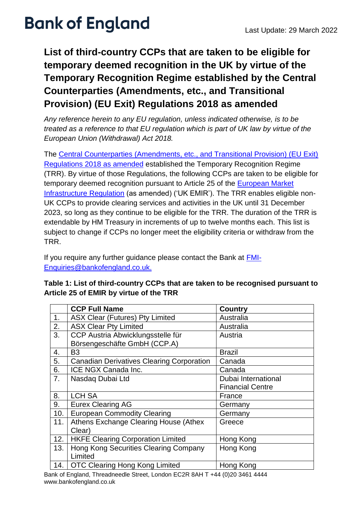# **Bank of England** Last Update: 29 March 2022

### **List of third-country CCPs that are taken to be eligible for temporary deemed recognition in the UK by virtue of the Temporary Recognition Regime established by the Central Counterparties (Amendments, etc., and Transitional Provision) (EU Exit) Regulations 2018 as amended**

*Any reference herein to any EU regulation, unless indicated otherwise, is to be treated as a reference to that EU regulation which is part of UK law by virtue of the European Union (Withdrawal) Act 2018.*

The [Central Counterparties \(Amendments, etc., and Transitional Provision\) \(EU Exit\)](https://www.legislation.gov.uk/uksi/2018/1184/contents/made)  [Regulations 2018](https://www.legislation.gov.uk/uksi/2018/1184/contents/made) as amended established the Temporary Recognition Regime (TRR). By virtue of those Regulations, the following CCPs are taken to be eligible for temporary deemed recognition pursuant to Article 25 of the **European Market** [Infrastructure Regulation](https://eur-lex.europa.eu/legal-content/EN/TXT/PDF/?uri=CELEX:32012R0648&from=EN) (as amended) ('UK EMIR'). The TRR enables eligible non-UK CCPs to provide clearing services and activities in the UK until 31 December 2023, so long as they continue to be eligible for the TRR. The duration of the TRR is extendable by HM Treasury in increments of up to twelve months each. This list is subject to change if CCPs no longer meet the eligibility criteria or withdraw from the TRR.

If you require any further guidance please contact the Bank at [FMI-](mailto:FMI-Enquiries@bankofengland.co.uk)[Enquiries@bankofengland.co.uk.](mailto:FMI-Enquiries@bankofengland.co.uk)

| Table 1: List of third-country CCPs that are taken to be recognised pursuant to |
|---------------------------------------------------------------------------------|
| Article 25 of EMIR by virtue of the TRR                                         |

|     | <b>CCP Full Name</b>                             | Country                 |
|-----|--------------------------------------------------|-------------------------|
| 1.  | <b>ASX Clear (Futures) Pty Limited</b>           | Australia               |
| 2.  | <b>ASX Clear Pty Limited</b>                     | Australia               |
| 3.  | CCP Austria Abwicklungsstelle für                | Austria                 |
|     | Börsengeschäfte GmbH (CCP.A)                     |                         |
| 4.  | B <sub>3</sub>                                   | <b>Brazil</b>           |
| 5.  | <b>Canadian Derivatives Clearing Corporation</b> | Canada                  |
| 6.  | ICE NGX Canada Inc.                              | Canada                  |
| 7.  | Nasdaq Dubai Ltd                                 | Dubai International     |
|     |                                                  | <b>Financial Centre</b> |
| 8.  | <b>LCH SA</b>                                    | France                  |
| 9.  | <b>Eurex Clearing AG</b>                         | Germany                 |
| 10. | <b>European Commodity Clearing</b>               | Germany                 |
| 11. | Athens Exchange Clearing House (Athex            | Greece                  |
|     | Clear)                                           |                         |
| 12. | <b>HKFE Clearing Corporation Limited</b>         | Hong Kong               |
| 13. | Hong Kong Securities Clearing Company            | Hong Kong               |
|     | Limited                                          |                         |
| 14. | <b>OTC Clearing Hong Kong Limited</b>            | Hong Kong               |

Bank of England, Threadneedle Street, London EC2R 8AH T +44 (0)20 3461 4444 www.bankofengland.co.uk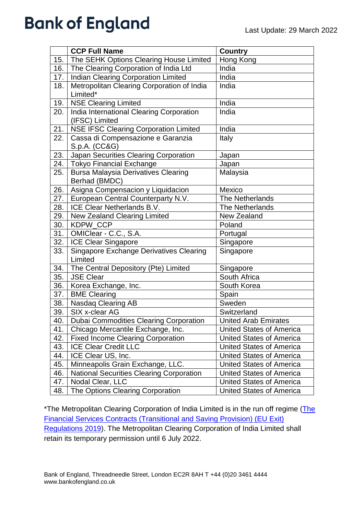# **Bank of England**

|     | <b>CCP Full Name</b>                                      | <b>Country</b>                  |
|-----|-----------------------------------------------------------|---------------------------------|
| 15. | The SEHK Options Clearing House Limited                   | Hong Kong                       |
| 16. | The Clearing Corporation of India Ltd                     | India                           |
| 17. | <b>Indian Clearing Corporation Limited</b>                | India                           |
| 18. | Metropolitan Clearing Corporation of India                | India                           |
|     | Limited*                                                  |                                 |
| 19. | <b>NSE Clearing Limited</b>                               | India                           |
| 20. | India International Clearing Corporation                  | India                           |
|     | (IFSC) Limited                                            |                                 |
| 21. | <b>NSE IFSC Clearing Corporation Limited</b>              | India                           |
| 22. | Cassa di Compensazione e Garanzia                         | Italy                           |
|     | S.p.A. (CC&G)                                             |                                 |
| 23. | Japan Securities Clearing Corporation                     | Japan                           |
| 24. | <b>Tokyo Financial Exchange</b>                           | Japan                           |
| 25. | <b>Bursa Malaysia Derivatives Clearing</b>                | Malaysia                        |
|     | Berhad (BMDC)                                             |                                 |
| 26. | Asigna Compensacion y Liquidacion                         | Mexico                          |
| 27. | European Central Counterparty N.V.                        | The Netherlands                 |
| 28. | ICE Clear Netherlands B.V.                                | The Netherlands                 |
| 29. | <b>New Zealand Clearing Limited</b>                       | <b>New Zealand</b>              |
| 30. | <b>KDPW CCP</b>                                           | Poland                          |
| 31. | OMIClear - C.C., S.A.                                     | Portugal                        |
| 32. | ICE Clear Singapore                                       | Singapore                       |
| 33. | <b>Singapore Exchange Derivatives Clearing</b><br>Limited | Singapore                       |
| 34. | The Central Depository (Pte) Limited                      | Singapore                       |
| 35. | <b>JSE Clear</b>                                          | South Africa                    |
| 36. | Korea Exchange, Inc.                                      | South Korea                     |
| 37. | <b>BME Clearing</b>                                       | Spain                           |
| 38. | Nasdaq Clearing AB                                        | Sweden                          |
| 39. | SIX x-clear AG                                            | Switzerland                     |
| 40. | <b>Dubai Commodities Clearing Corporation</b>             | United Arab Emirates            |
| 41. | Chicago Mercantile Exchange, Inc.                         | <b>United States of America</b> |
| 42. | <b>Fixed Income Clearing Corporation</b>                  | United States of America        |
| 43. | <b>ICE Clear Credit LLC</b>                               | <b>United States of America</b> |
| 44. | ICE Clear US, Inc.                                        | <b>United States of America</b> |
| 45. | Minneapolis Grain Exchange, LLC.                          | <b>United States of America</b> |
| 46. | <b>National Securities Clearing Corporation</b>           | <b>United States of America</b> |
| 47. | Nodal Clear, LLC                                          | United States of America        |
| 48. | The Options Clearing Corporation                          | <b>United States of America</b> |

\*The Metropolitan Clearing Corporation of India Limited is in the run off regime (The [Financial Services Contracts \(Transitional and Saving Provision\) \(EU Exit\)](https://www.legislation.gov.uk/ukdsi/2019/9780111178416)  [Regulations 2019\)](https://www.legislation.gov.uk/ukdsi/2019/9780111178416). The Metropolitan Clearing Corporation of India Limited shall retain its temporary permission until 6 July 2022.